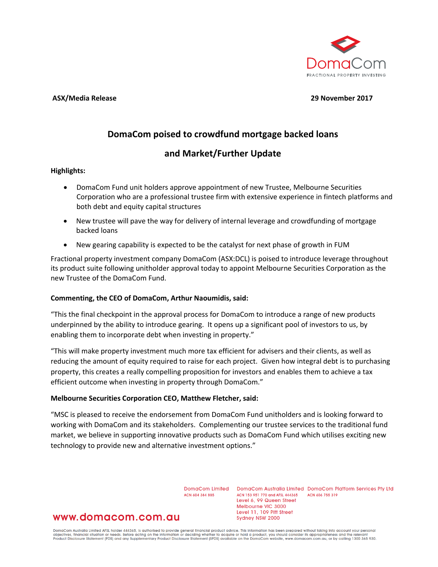

#### **ASX/Media Release 29 November 2017**

# **DomaCom poised to crowdfund mortgage backed loans**

## **and Market/Further Update**

## **Highlights:**

- DomaCom Fund unit holders approve appointment of new Trustee, Melbourne Securities Corporation who are a professional trustee firm with extensive experience in fintech platforms and both debt and equity capital structures
- New trustee will pave the way for delivery of internal leverage and crowdfunding of mortgage backed loans
- New gearing capability is expected to be the catalyst for next phase of growth in FUM

Fractional property investment company DomaCom (ASX:DCL) is poised to introduce leverage throughout its product suite following unitholder approval today to appoint Melbourne Securities Corporation as the new Trustee of the DomaCom Fund.

## **Commenting, the CEO of DomaCom, Arthur Naoumidis, said:**

"This the final checkpoint in the approval process for DomaCom to introduce a range of new products underpinned by the ability to introduce gearing. It opens up a significant pool of investors to us, by enabling them to incorporate debt when investing in property."

"This will make property investment much more tax efficient for advisers and their clients, as well as reducing the amount of equity required to raise for each project. Given how integral debt is to purchasing property, this creates a really compelling proposition for investors and enables them to achieve a tax efficient outcome when investing in property through DomaCom."

## **Melbourne Securities Corporation CEO, Matthew Fletcher, said:**

"MSC is pleased to receive the endorsement from DomaCom Fund unitholders and is looking forward to working with DomaCom and its stakeholders. Complementing our trustee services to the traditional fund market, we believe in supporting innovative products such as DomaCom Fund which utilises exciting new technology to provide new and alternative investment options."

ACN 604 384 885

DomaCom Limited DomaCom Australia Limited DomaCom Platform Services Pty Ltd ACN 153 951 770 and AFSL 444365 ACN 606 755 319 Level 6, 99 Queen Street Melbourne VIC 3000 Level 11, 109 Pitt Street Sydney NSW 2000

## www.domacom.com.au

DomaCom Australia Limited AFSL holder 444365, is authorised to provide general financial product advice. This information has been prepared without taking into account your personal<br>objectives, financial situation or needs